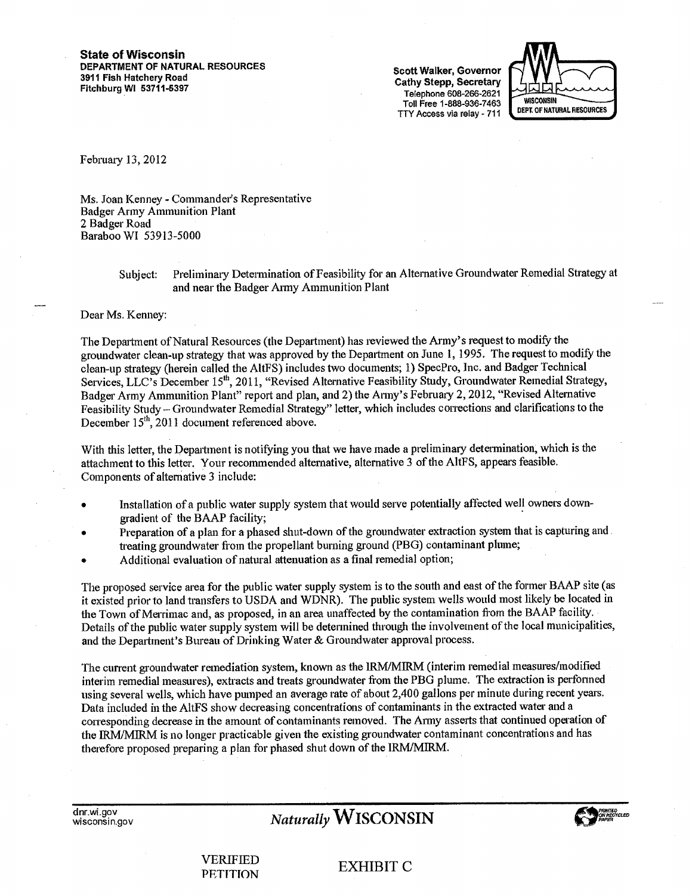**State of Wisconsin DEPARTMENT OF NATURAL RESOURCES 3911 Fish Hatchery Road Fitchburg WI 53711-6397** 

**Scott Walker, Governor Cathy Stepp, Secretary**  Telephone 608-266-2621 Toll Free 1-888-936-7463 TTY Access via relay -711



February 13, 2012

Ms. Joan Kenney - Commander's Representative Badger Army Ammunition Plant 2 Badger Road Baraboo WI 53913-5000

> Subject: Preliminary Determination of Feasibility for an Alternative Groundwater Remedial Strategy at and near the Badger Army Ammunition Plant

#### Dear Ms. Kenney:

The Department of Natural Resources (the Department) has reviewed the Army's request to modify the groundwater clean-up strategy that was approved by the Department on June 1, 1995. The request to modify the clean-up strategy (herein called the AltFS) includes two documents; 1) SpecPro, Inc. and Badger Technical Services, LLC's December 15<sup>th</sup>, 2011, "Revised Alternative Feasibility Study, Groundwater Remedial Strategy, Badger Army Ammunition Plant" report and plan, and 2) the Army's February 2, 2012, "Revised Alternative Feasibility Study — Groundwater Remedial Strategy" letter, which includes corrections and clarifications to the December  $15<sup>th</sup>$ , 2011 document referenced above.

With this letter, the Department is notifying you that we have made a preliminary determination; which is the attachment to this letter. Your recommended alternative, alternative 3 of the AltFS, appears feasible. Components of alternative 3 include:

- Installation of a public water supply system that would serve potentially affected well owners downgradient of the BAAP facility;
- Preparation of a plan for a phased shut-down of the groundwater extraction system that is capturing and treating groundwater from the propellant burning ground (PBG) contaminant plume;
- Additional evaluation of natural attenuation as a final remedial option;

The proposed service area for the public water supply system is to the south and east of the former BAAP site (as it existed prior to land transfers to USDA and WDNR). The public system wells would most likely be located in the Town of Merrimac and, as proposed, in an area unaffected by the contamination from the BAAP facility. Details of the public water supply system will be determined through the involvement of the local municipalities, and the Department's Bureau of Drinking Water & Groundwater approval process.

The current groundwater remediation system, known as the IRM/MIRM (interim remedial measures/modified interim remedial measures), extracts and treats groundwater from the PBG plume. The extraction is performed using several wells, which have pumped an average rate of about 2,400 gallons per minute during recent years. Data included in the AltFS show decreasing concentrations of contaminants in the extracted water and a corresponding decrease in the amount of contaminants removed. The Army asserts that continued operation of the IRM/M1RM is no longer practicable given the existing groundwater contaminant concentrations and has therefore proposed preparing a plan for phased shut down of the IRM/MIRM.

**cinr.wi.gov** 

# $Naturally$  **WISCONSIN**



VERIFIED PETITION EXHIBIT C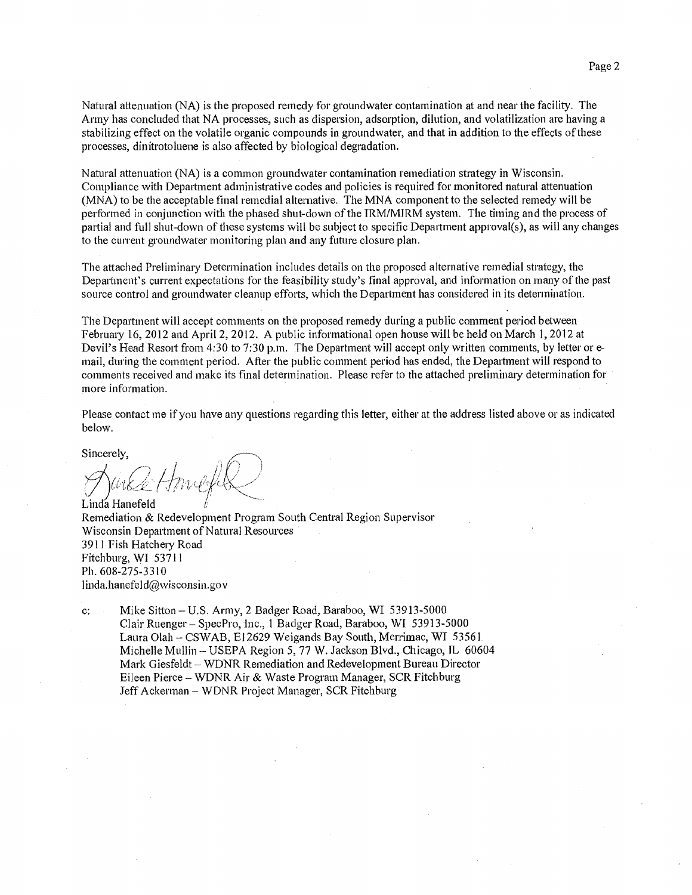Natural attenuation (NA) is the proposed remedy for groundwater contamination at and near the facility. The Army has concluded that NA processes, such as dispersion, adsorption, dilution, and volatilization are having a stabilizing effect on the volatile organic compounds in groundwater, and that in addition to the effects of these processes, dinitrotoluene is also affected by biological degradation.

Natural attenuation (NA) is a common groundwater contamination remediation strategy in Wisconsin. Compliance with Department administrative codes and policies is required for monitored natural attenuation (MNA) to be the acceptable final remedial alternative. The MNA component to the selected remedy will be performed in conjunction with the phased shut-down of the IRM/MIRM system. The timing and the process of partial and full shut-down of these systems will be subject to specific Department approval(s), as will any changes to the current groundwater monitoring plan and any future closure plan.

The attached Preliminary Determination includes details on the proposed alternative remedial strategy, the Department's current expectations for the feasibility study's final approval, and information on many of the past source control and groundwater cleanup efforts, which the Department has considered in its determination.

The Department will accept comments on the proposed remedy during a public comment period between Februaiy 16, 2012 and April 2, 2012. A public informational open house will be held on March 1, 2012 at Devil's Head Resort from 4:30 to 7:30 p.m. The Department will accept only written comments, by letter or email, during the comment period. After the public comment period has ended, the Department will respond to comments received and make its final determination. Please refer to the attached preliminaiy determination for more information.

Please contact me if you have any questions regarding this letter, either at the address listed above or as indicated below.

Sincerely,

Linda Hanefeld Remediation & Redevelopment Program South Central Region Supervisor Wisconsin Department of Natural Resources 3911 Fish Hatchery Road Fitchburg, WI 53711 Ph. 608-275-3310 linda.hanefeld@wisconsin.gov

c: Mike Sitton —U.S. Army, 2 Badger Road, Baraboo, WI 53913-5000 Clair Ruenger — SpecPro, Inc., 1 Badger Road, Baraboo, WI 53913-5000 Laura Olah — CSWAB, E12629 Weigands Bay South, Merrimac, WI 53561 Michelle Mullin — USEPA Region 5, 77 W. Jackson Blvd., Chicago, IL 60604 Mark Giesfeldt — WDNR Remediation and Redevelopment Bureau Director Eileen Pierce — WDNR Air & Waste Program Manager, SCR Fitchburg Jeff Ackerman — WDNR Project Manager, SCR Fitchburg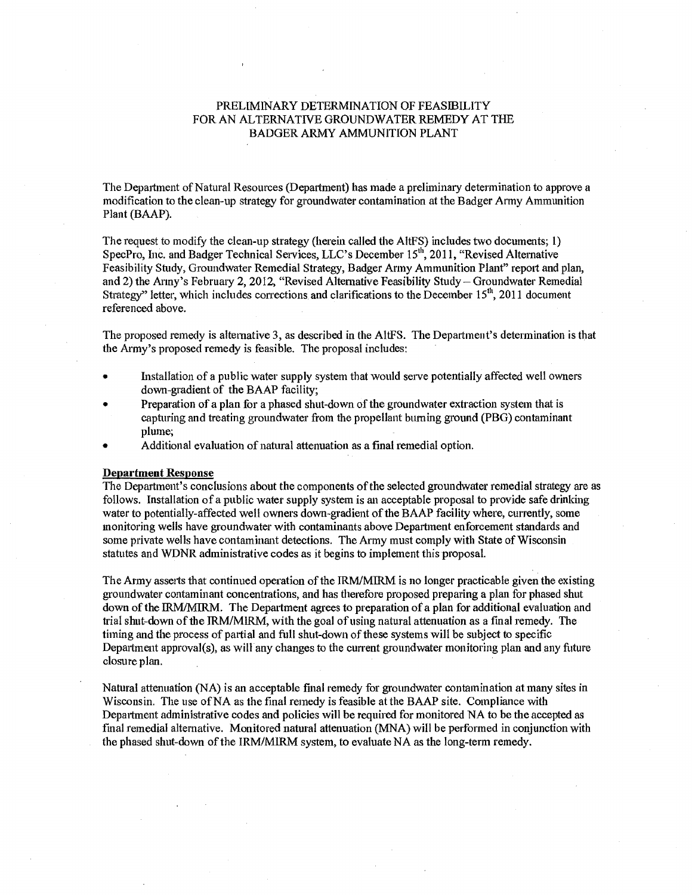## PRELIMINARY DETERMINATION OF FEASIBILITY FOR AN ALTERNATIVE GROUNDWATER REMEDY AT THE BADGER ARMY AMMUNITION PLANT

The Department of Natural Resources (Department) has made a preliminary determination to approve a modification to the clean-up strategy for groundwater contamination at the Badger Army Ammunition Plant (BAAP).

The request to modify the clean-up strategy (herein called the AltFS) includes two documents; 1) SpecPro, Inc. and Badger Technical Services, LLC's December 15", 2011, "Revised Alternative Feasibility Study, Groundwater Remedial Strategy, Badger Army Ammunition Plant" report and plan, and 2) the Army's February 2, 2012, "Revised Alternative Feasibility Study - Groundwater Remedial Strategy" letter, which includes corrections and clarifications to the December  $15<sup>th</sup>$ , 2011 document referenced above.

The proposed remedy is alternative 3, as described in the AltFS. The Department's determination is that the Army's proposed remedy is feasible. The proposal includes:

- Installation of a public water supply system that would serve potentially affected well owners down-gradient of the BAAP facility;
- Preparation of a plan for a phased shut-down of the groundwater extraction system that is capturing and treating groundwater from the propellant burning ground (PBG) contaminant plume;
- Additional evaluation of natural attenuation as a final remedial option.

## **Department Response**

The Department's conclusions about the components of the selected groundwater remedial strategy are as follows. Installation of a public water supply system is an acceptable proposal to provide safe drinking water to potentially-affected well owners down-gradient of the BAAP facility where, currently, some monitoring wells have groundwater with contaminants above Department enforcement standards and some private wells have contaminant detections. The Army must comply with State of Wisconsin statutes and WDNR administrative codes as it begins to implement this proposal.

The Army asserts that continued operation of the IRM/MIRM is no longer practicable given the existing groundwater contaminant concentrations, and has therefore proposed preparing a plan for phased shut down of the IRM/MIRM. The Department agrees to preparation of a plan for additional evaluation and trial shut-down of the IRM/MIRM, with the goal of using natural attenuation as a final remedy. The timing and the process of partial and full shut-down of these systems will be subject to specific Department approval(s), as will any changes to the current groundwater monitoring plan and any future closure plan.

Natural attenuation (NA) is an acceptable final remedy for groundwater contamination at many sites in Wisconsin. The use of NA as the final remedy is feasible at the BAAP site. Compliance with Department administrative codes and policies will be required for monitored NA to be the accepted as final remedial alternative. Monitored natural attenuation (MNA) will be performed in conjunction with the phased shut-down of the IRM/M1RM system, to evaluate NA as the long-term remedy.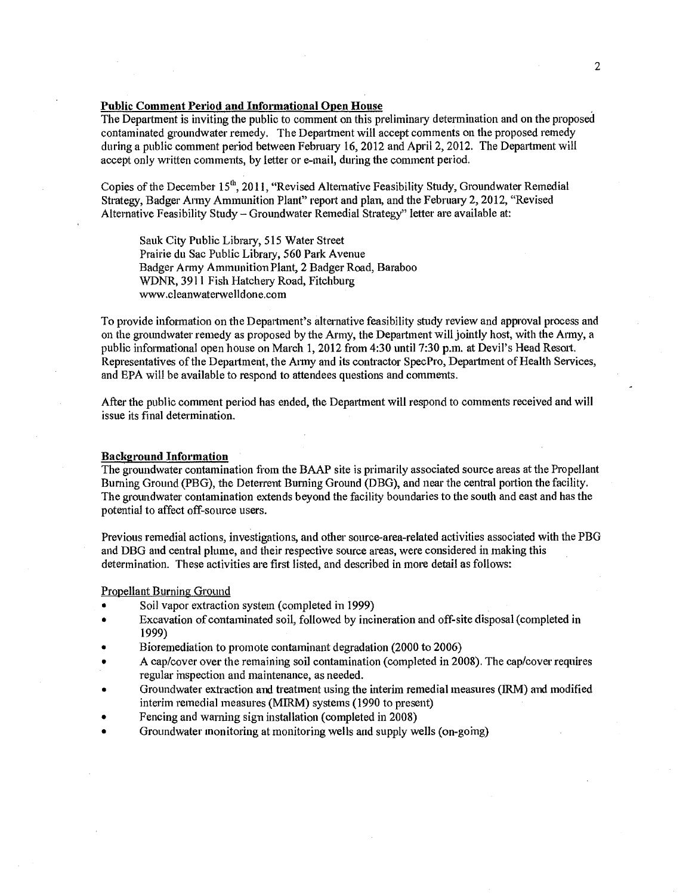## **Public Comment Period and Informational Open House**

The Department is inviting the public to comment on this preliminary determination and on the proposed contaminated groundwater remedy. The Department will accept comments on the proposed remedy during a public comment period between February 16, 2012 and April 2, 2012. The Department will accept only written comments, by letter or e-mail, during the comment period.

Copies of the December 15<sup>th</sup>, 2011, "Revised Alternative Feasibility Study, Groundwater Remedial Strategy, Badger Army Ammunition Plant" report and plan, and the February 2, 2012, "Revised Alternative Feasibility Study — Groundwater Remedial Strategy" letter are available at:

Sauk City Public Library, 515 Water Street Prairie du Sac Public Library, 560 Park Avenue Badger Army Ammunition Plant, 2 Badger Road, Baraboo WDNR, 3911 Fish Hatchery Road, Fitchburg www.cleanwaterwelldone.com

To provide information on the Department's alternative feasibility study review and approval process and on the groundwater remedy as proposed by the Army, the Department will jointly host, with the Army, a public informational open house on March 1, 2012 from 4:30 until 7:30 p.m. at Devil's Head Resort. Representatives of the Department, the Army and its contractor SpecPro, Department of Health Services, and EPA will be available to respond to attendees questions and comments.

After the public comment period has ended, the Department will respond to comments received and will issue its final determination.

#### **Background Information**

The groundwater contamination from the BAAP site is primarily associated source areas at the Propellant Burning Ground (PBG), the Deterrent Burning Ground (DBG), and near the central portion the facility. The groundwater contamination extends beyond the facility boundaries to the south and east and has the potential to affect off-source users.

Previous remedial actions, investigations, and other source-area-related activities associated with the PBG and DBG and central plume, and their respective source areas, were considered in making this determination. These activities are first listed, and described in more detail as follows:

## Propellant Burning Ground

- Soil vapor extraction system (completed in 1999)
- Excavation of contaminated soil, followed by incineration and off-site disposal (completed in 1999)
- Bioremediation to promote contaminant degradation (2000 to 2006)
- A cap/cover over the remaining soil contamination (completed in 2008). The cap/cover requires regular inspection and maintenance, as needed.
- Groundwater extraction and treatment using the interim remedial measures (IRM) and modified interim remedial measures (MIRM) systems (1990 to present)
- Fencing and warning sign installation (completed in 2008)
- Groundwater monitoring at monitoring wells and supply wells (on-going)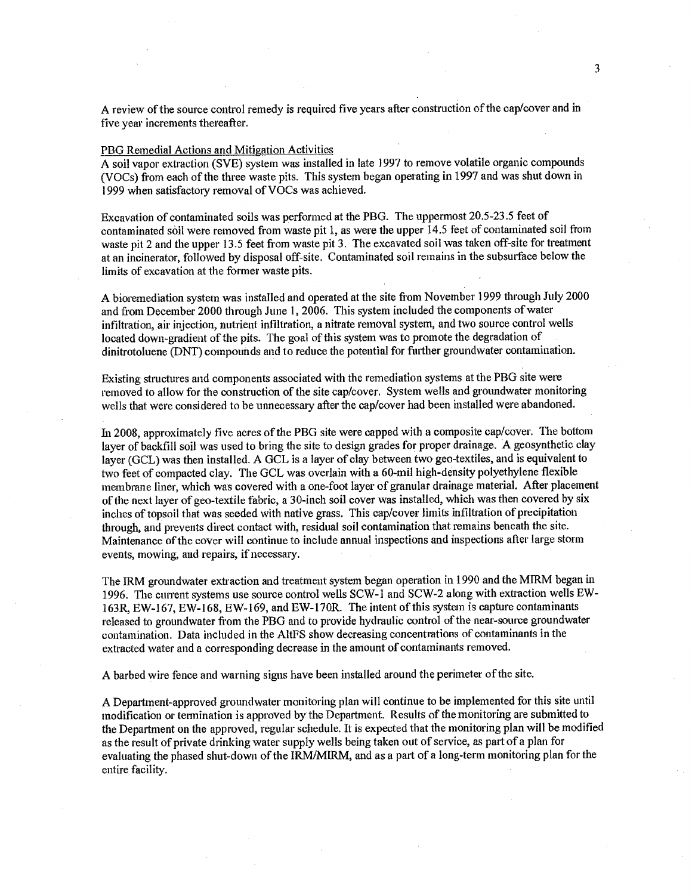A review of the source control remedy is required five years after construction of the cap/cover and in five year increments thereafter.

#### PBG Remedial Actions and Mitigation Activities

A soil vapor extraction (SVE) system was installed in late 1997 to remove volatile organic compounds (VOCs) from each of the three waste pits. This system began operating in 1997 and was shut down in 1999 when satisfactory removal of VOCs was achieved.

Excavation of contaminated soils was performed at the PBG. The uppermost 20.5-23.5 feet of contaminated soil were removed from waste pit 1, as were the upper 14.5 feet of contaminated soil from waste pit 2 and the upper 13.5 feet from waste pit 3. The excavated soil was taken off-site for treatment at an incinerator, followed by disposal off-site. Contaminated soil remains in the subsurface below the limits of excavation at the former waste pits.

A bioremediation system was installed and operated at the site from November 1999 through July 2000 and from December 2000 through June 1, 2006. This system included the components of water infiltration, air injection, nutrient infiltration, a nitrate removal system, and two source control wells located down-gradient of the pits. The goal of this system was to promote the degradation of dinitrotoluene (DNT) compounds and to reduce the potential for further groundwater contamination.

Existing structures and components associated with the rernediation systems at the PBG site were removed to allow for the construction of the site cap/cover. System wells and groundwater monitoring wells that were considered to be unnecessary after the cap/cover had been installed were abandoned.

In 2008, approximately five acres of the PBG site were capped with a composite cap/cover. The bottom layer of backfill soil was used to bring the site to design grades for proper drainage. A geosynthetic clay layer (GCL) was then installed. A GCL is a layer of clay between two geo-textiles, and is equivalent to two feet of compacted clay. The GCL was overlain with a 60-mil high-density polyethylene flexible membrane liner, which was covered with a one-foot layer of granular drainage material. After placement of the next layer of geo-textile fabric, a 30-inch soil cover was installed, which was then covered by six inches of topsoil that was seeded with native grass. This cap/cover limits infiltration of precipitation through, and prevents direct contact with, residual soil contamination that remains beneath the site. Maintenance of the cover will continue to include annual inspections and inspections after large storm events, mowing, and repairs, if necessary.

The 1RM groundwater extraction and treatment system began operation in 1990 and the M1RM began in 1996. The current systems use source control wells SCW-1 and SCW-2 along with extraction wells EW-163R, EW-167, EW-168, EW-169, and EW-170R. The intent of this system is capture contaminants released to groundwater from the PBG and to provide hydraulic control of the near-source groundwater contamination. Data included in the AltFS show decreasing concentrations of contaminants in the extracted water and a corresponding decrease in the amount of contaminants removed.

A barbed wire fence and warning signs have been installed around the perimeter of the site.

A Department-approved groundwater monitoring plan will continue to be implemented for this site until modification or termination is approved by the Department. Results of the monitoring are submitted to the Department on the approved, regular schedule. It is expected that the monitoring plan will be modified as the result of private drinking water supply wells being taken out of service, as part of a plan for evaluating the phased shut-down of the IRM/MIRM, and as a part of a long-term monitoring plan for the entire facility.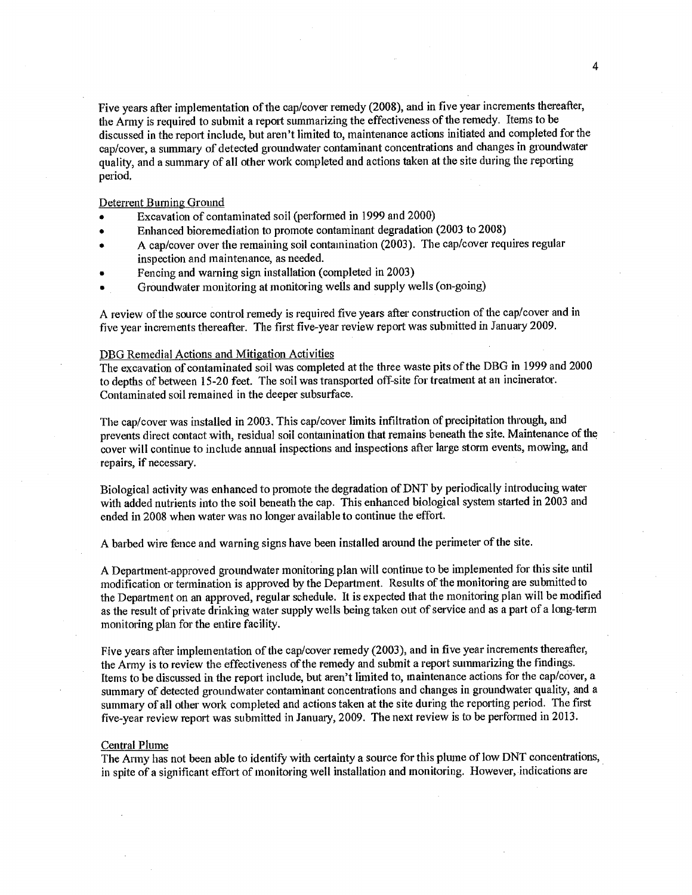Five years after implementation of the cap/cover remedy (2008), and in five year increments thereafter, the Army is required to submit a report summarizing the effectiveness of the remedy. Items to be discussed in the report include, but aren't limited to, maintenance actions initiated and completed for the cap/cover, a summary of detected groundwater contaminant concentrations and changes in groundwater quality, and a summary of all other work completed and actions taken at the site during the reporting period.

Deterrent Burning Ground

- Excavation of contaminated soil (performed in 1999 and 2000)
- Enhanced bioremediation to promote contaminant degradation (2003 to 2008)
- A cap/cover over the remaining soil contamination (2003). The cap/cover requires regular inspection and maintenance, as needed.
- Fencing and warning sign installation (completed in 2003)
- Groundwater monitoring at monitoring wells and supply wells (on-going)

A review of the source control remedy is required five years after construction of the cap/cover and in five year increments thereafter. The first five-year review report was submitted in January 2009.

## DBG Remedial Actions and Mitigation Activities

The excavation of contaminated soil was completed at the three waste pits of the DBG in 1999 and 2000 to depths of between 15-20 feet. The soil was transported off-site for treatment at an incinerator. Contaminated soil remained in the deeper subsurface.

The cap/cover was installed in 2003. This cap/cover limits infiltration of precipitation through, and prevents direct contact with, residual soil contamination that remains beneath the site. Maintenance of the cover will continue to include annual inspections and inspections after large storm events, mowing, and repairs, if necessary.

Biological activity was enhanced to promote the degradation of DNT by periodically introducing water with added nutrients into the soil beneath the cap. This enhanced biological system started in 2003 and ended in 2008 when water was no longer available to continue the effort.

A barbed wire fence and warning signs have been installed around the perimeter of the site.

A Department-approved groundwater monitoring plan will continue to be implemented for this site until modification or termination is approved by the Department. Results of the monitoring are submitted to the Department on an approved, regular schedule. It is expected that the monitoring plan will be modified as the result of private drinking water supply wells being taken out of service and as a part of a long-term monitoring plan for the entire facility.

Five years after implementation of the cap/cover remedy (2003), and in five year increments thereafter, the Army is to review the effectiveness of the remedy and submit a report summarizing the findings. Items to be discussed in the report include, but aren't limited to, maintenance actions for the cap/cover, a summary of detected groundwater contaminant concentrations and changes in groundwater quality, and a summary of all other work completed and actions taken at the site during the reporting period. The first five-year review report was submitted in January, 2009. The next review is to be performed in 2013.

#### Central Plume

The Army has not been able to identify with certainty a source for this plume of low DNT concentrations, in spite of a significant effort of monitoring well installation and monitoring. However, indications are